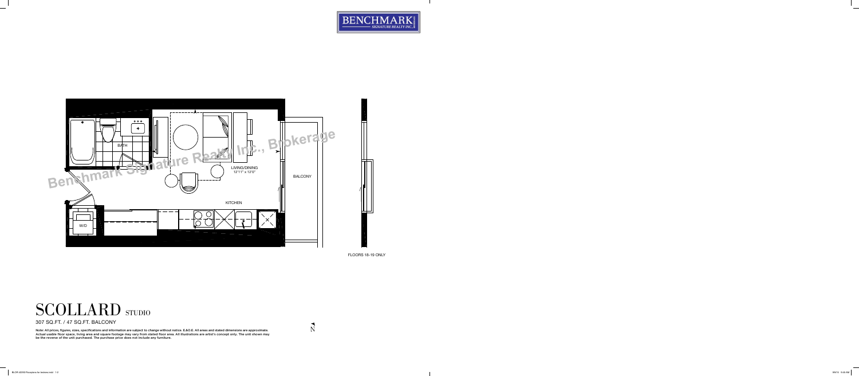



FLOORS 18-19 ONLY



307 SQ.FT. / 47 SQ.FT. BALCONY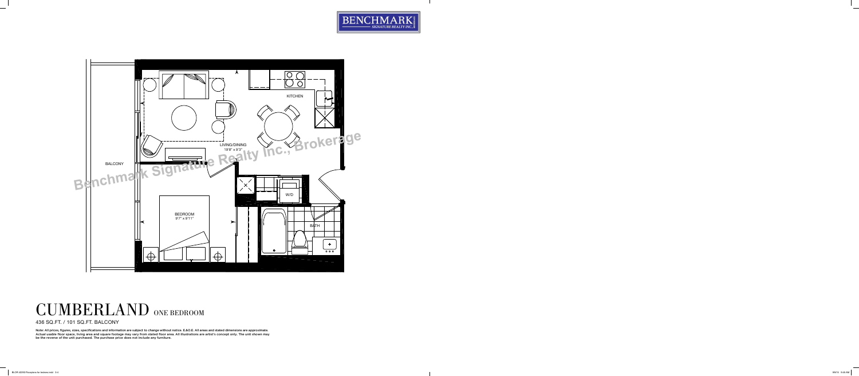



## CUMBERLAND ONE BEDROOM

436 SQ.FT. / 101 SQ.FT. BALCONY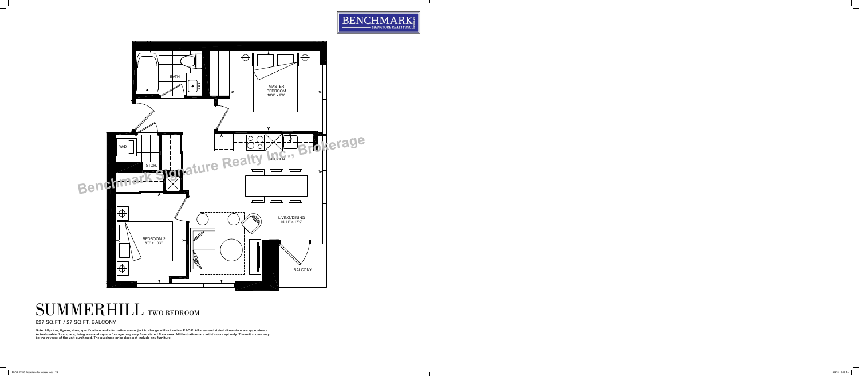



## SUMMERHILL TWO BEDROOM

627 SQ.FT. / 27 SQ.FT. BALCONY